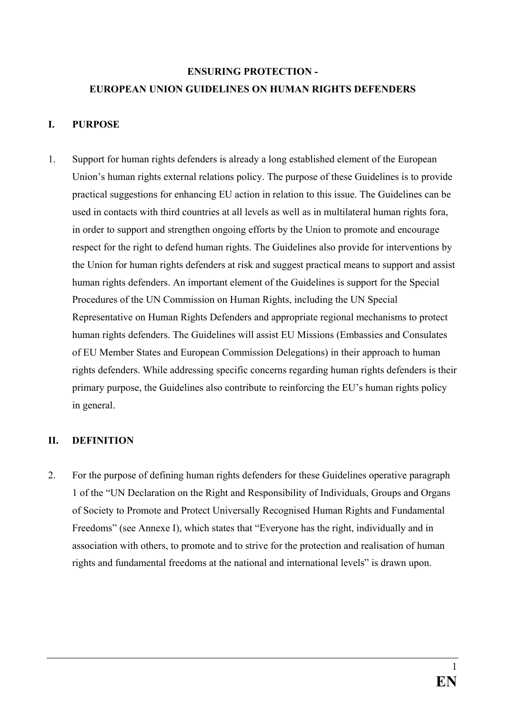# **ENSURING PROTECTION - EUROPEAN UNION GUIDELINES ON HUMAN RIGHTS DEFENDERS**

## **I. PURPOSE**

1. Support for human rights defenders is already a long established element of the European Union's human rights external relations policy. The purpose of these Guidelines is to provide practical suggestions for enhancing EU action in relation to this issue. The Guidelines can be used in contacts with third countries at all levels as well as in multilateral human rights fora, in order to support and strengthen ongoing efforts by the Union to promote and encourage respect for the right to defend human rights. The Guidelines also provide for interventions by the Union for human rights defenders at risk and suggest practical means to support and assist human rights defenders. An important element of the Guidelines is support for the Special Procedures of the UN Commission on Human Rights, including the UN Special Representative on Human Rights Defenders and appropriate regional mechanisms to protect human rights defenders. The Guidelines will assist EU Missions (Embassies and Consulates of EU Member States and European Commission Delegations) in their approach to human rights defenders. While addressing specific concerns regarding human rights defenders is their primary purpose, the Guidelines also contribute to reinforcing the EU's human rights policy in general.

## **II. DEFINITION**

2. For the purpose of defining human rights defenders for these Guidelines operative paragraph 1 of the "UN Declaration on the Right and Responsibility of Individuals, Groups and Organs of Society to Promote and Protect Universally Recognised Human Rights and Fundamental Freedoms" (see Annexe I), which states that "Everyone has the right, individually and in association with others, to promote and to strive for the protection and realisation of human rights and fundamental freedoms at the national and international levels" is drawn upon.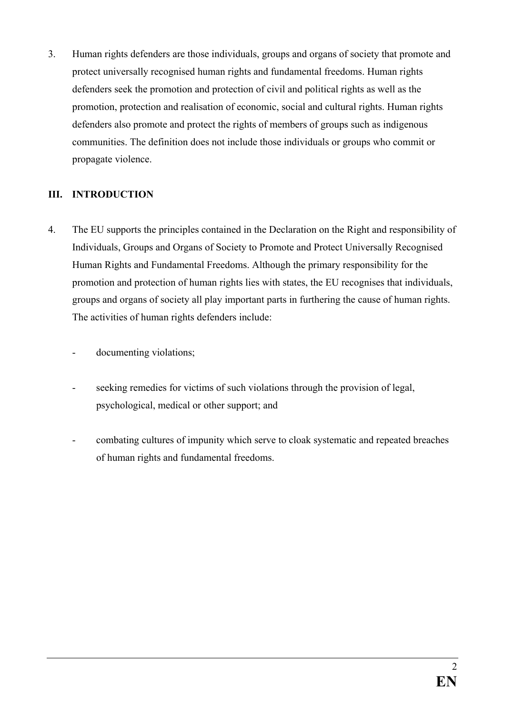3. Human rights defenders are those individuals, groups and organs of society that promote and protect universally recognised human rights and fundamental freedoms. Human rights defenders seek the promotion and protection of civil and political rights as well as the promotion, protection and realisation of economic, social and cultural rights. Human rights defenders also promote and protect the rights of members of groups such as indigenous communities. The definition does not include those individuals or groups who commit or propagate violence.

# **III. INTRODUCTION**

- 4. The EU supports the principles contained in the Declaration on the Right and responsibility of Individuals, Groups and Organs of Society to Promote and Protect Universally Recognised Human Rights and Fundamental Freedoms. Although the primary responsibility for the promotion and protection of human rights lies with states, the EU recognises that individuals, groups and organs of society all play important parts in furthering the cause of human rights. The activities of human rights defenders include:
	- documenting violations;
	- seeking remedies for victims of such violations through the provision of legal, psychological, medical or other support; and
	- combating cultures of impunity which serve to cloak systematic and repeated breaches of human rights and fundamental freedoms.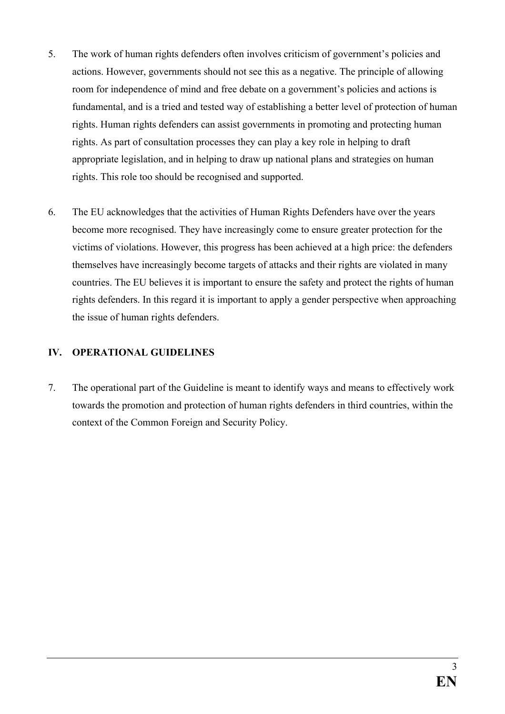- 5. The work of human rights defenders often involves criticism of government's policies and actions. However, governments should not see this as a negative. The principle of allowing room for independence of mind and free debate on a government's policies and actions is fundamental, and is a tried and tested way of establishing a better level of protection of human rights. Human rights defenders can assist governments in promoting and protecting human rights. As part of consultation processes they can play a key role in helping to draft appropriate legislation, and in helping to draw up national plans and strategies on human rights. This role too should be recognised and supported.
- 6. The EU acknowledges that the activities of Human Rights Defenders have over the years become more recognised. They have increasingly come to ensure greater protection for the victims of violations. However, this progress has been achieved at a high price: the defenders themselves have increasingly become targets of attacks and their rights are violated in many countries. The EU believes it is important to ensure the safety and protect the rights of human rights defenders. In this regard it is important to apply a gender perspective when approaching the issue of human rights defenders.

# **IV. OPERATIONAL GUIDELINES**

7. The operational part of the Guideline is meant to identify ways and means to effectively work towards the promotion and protection of human rights defenders in third countries, within the context of the Common Foreign and Security Policy.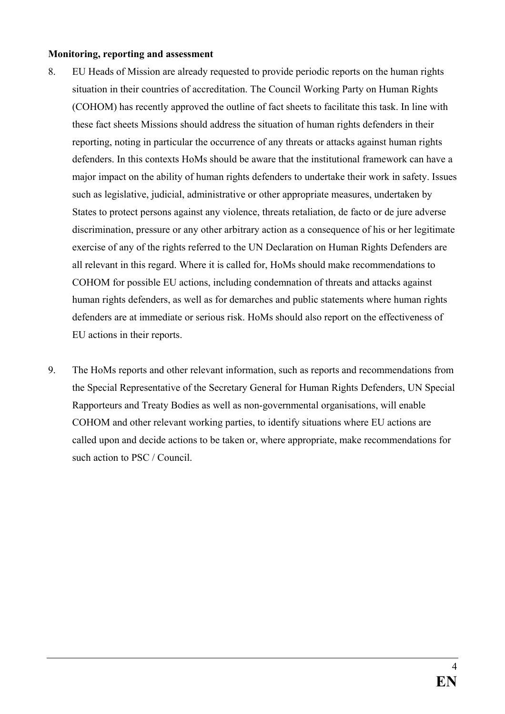#### **Monitoring, reporting and assessment**

- 8. EU Heads of Mission are already requested to provide periodic reports on the human rights situation in their countries of accreditation. The Council Working Party on Human Rights (COHOM) has recently approved the outline of fact sheets to facilitate this task. In line with these fact sheets Missions should address the situation of human rights defenders in their reporting, noting in particular the occurrence of any threats or attacks against human rights defenders. In this contexts HoMs should be aware that the institutional framework can have a major impact on the ability of human rights defenders to undertake their work in safety. Issues such as legislative, judicial, administrative or other appropriate measures, undertaken by States to protect persons against any violence, threats retaliation, de facto or de jure adverse discrimination, pressure or any other arbitrary action as a consequence of his or her legitimate exercise of any of the rights referred to the UN Declaration on Human Rights Defenders are all relevant in this regard. Where it is called for, HoMs should make recommendations to COHOM for possible EU actions, including condemnation of threats and attacks against human rights defenders, as well as for demarches and public statements where human rights defenders are at immediate or serious risk. HoMs should also report on the effectiveness of EU actions in their reports.
- 9. The HoMs reports and other relevant information, such as reports and recommendations from the Special Representative of the Secretary General for Human Rights Defenders, UN Special Rapporteurs and Treaty Bodies as well as non-governmental organisations, will enable COHOM and other relevant working parties, to identify situations where EU actions are called upon and decide actions to be taken or, where appropriate, make recommendations for such action to PSC / Council.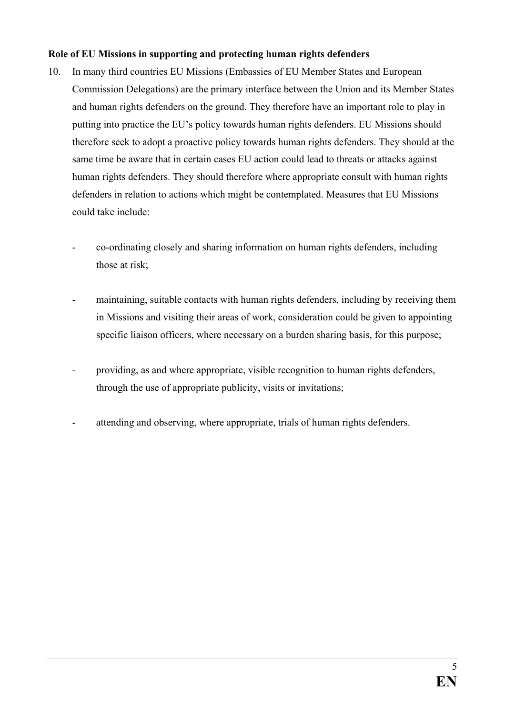#### **Role of EU Missions in supporting and protecting human rights defenders**

- 10. In many third countries EU Missions (Embassies of EU Member States and European Commission Delegations) are the primary interface between the Union and its Member States and human rights defenders on the ground. They therefore have an important role to play in putting into practice the EU's policy towards human rights defenders. EU Missions should therefore seek to adopt a proactive policy towards human rights defenders. They should at the same time be aware that in certain cases EU action could lead to threats or attacks against human rights defenders. They should therefore where appropriate consult with human rights defenders in relation to actions which might be contemplated. Measures that EU Missions could take include:
	- co-ordinating closely and sharing information on human rights defenders, including those at risk;
	- maintaining, suitable contacts with human rights defenders, including by receiving them in Missions and visiting their areas of work, consideration could be given to appointing specific liaison officers, where necessary on a burden sharing basis, for this purpose;
	- providing, as and where appropriate, visible recognition to human rights defenders, through the use of appropriate publicity, visits or invitations;
	- attending and observing, where appropriate, trials of human rights defenders.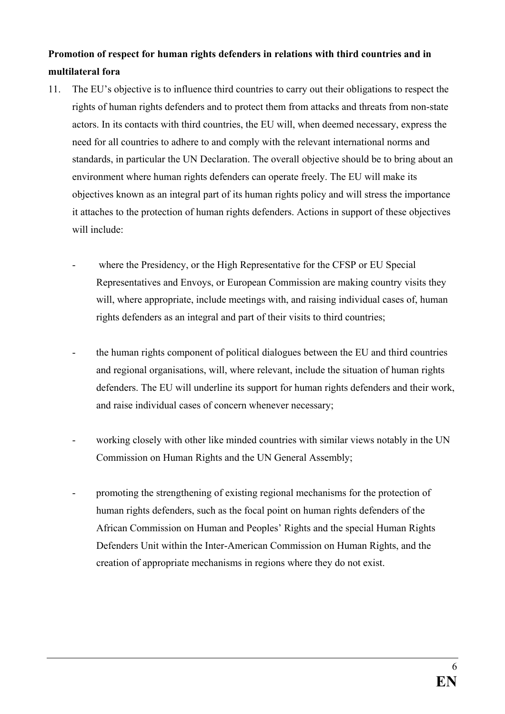# **Promotion of respect for human rights defenders in relations with third countries and in multilateral fora**

- 11. The EU's objective is to influence third countries to carry out their obligations to respect the rights of human rights defenders and to protect them from attacks and threats from non-state actors. In its contacts with third countries, the EU will, when deemed necessary, express the need for all countries to adhere to and comply with the relevant international norms and standards, in particular the UN Declaration. The overall objective should be to bring about an environment where human rights defenders can operate freely. The EU will make its objectives known as an integral part of its human rights policy and will stress the importance it attaches to the protection of human rights defenders. Actions in support of these objectives will include:
	- where the Presidency, or the High Representative for the CFSP or EU Special Representatives and Envoys, or European Commission are making country visits they will, where appropriate, include meetings with, and raising individual cases of, human rights defenders as an integral and part of their visits to third countries;
	- the human rights component of political dialogues between the EU and third countries and regional organisations, will, where relevant, include the situation of human rights defenders. The EU will underline its support for human rights defenders and their work, and raise individual cases of concern whenever necessary;
	- working closely with other like minded countries with similar views notably in the UN Commission on Human Rights and the UN General Assembly;
	- promoting the strengthening of existing regional mechanisms for the protection of human rights defenders, such as the focal point on human rights defenders of the African Commission on Human and Peoples' Rights and the special Human Rights Defenders Unit within the Inter-American Commission on Human Rights, and the creation of appropriate mechanisms in regions where they do not exist.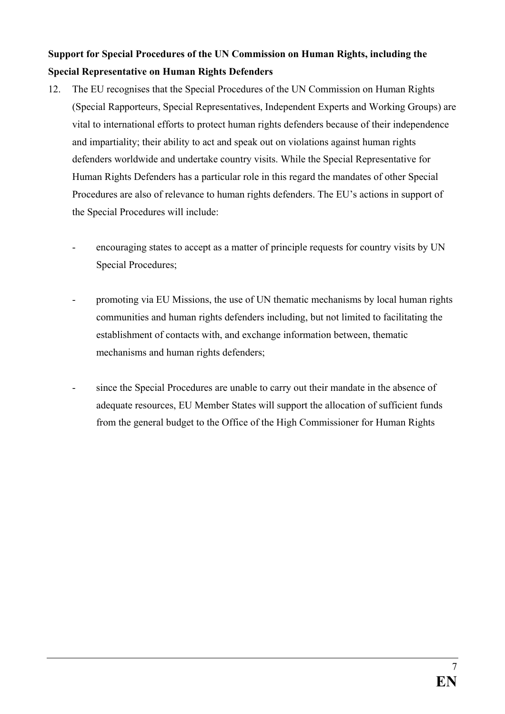# **Support for Special Procedures of the UN Commission on Human Rights, including the Special Representative on Human Rights Defenders**

- 12. The EU recognises that the Special Procedures of the UN Commission on Human Rights (Special Rapporteurs, Special Representatives, Independent Experts and Working Groups) are vital to international efforts to protect human rights defenders because of their independence and impartiality; their ability to act and speak out on violations against human rights defenders worldwide and undertake country visits. While the Special Representative for Human Rights Defenders has a particular role in this regard the mandates of other Special Procedures are also of relevance to human rights defenders. The EU's actions in support of the Special Procedures will include:
	- encouraging states to accept as a matter of principle requests for country visits by UN Special Procedures;
	- promoting via EU Missions, the use of UN thematic mechanisms by local human rights communities and human rights defenders including, but not limited to facilitating the establishment of contacts with, and exchange information between, thematic mechanisms and human rights defenders;
	- since the Special Procedures are unable to carry out their mandate in the absence of adequate resources, EU Member States will support the allocation of sufficient funds from the general budget to the Office of the High Commissioner for Human Rights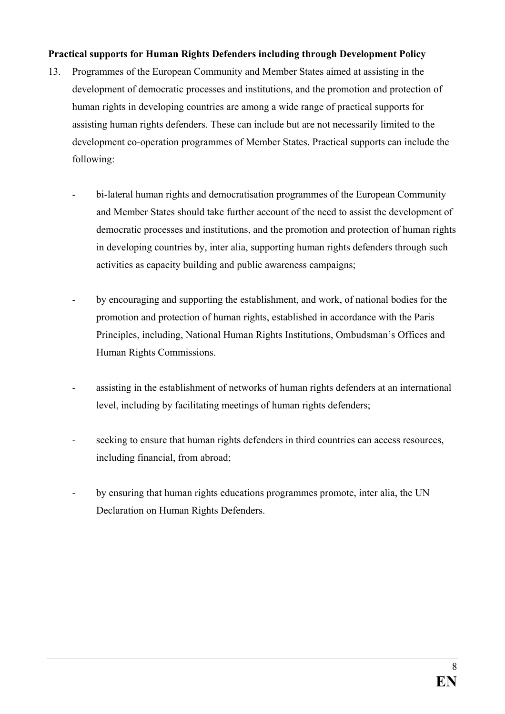## **Practical supports for Human Rights Defenders including through Development Policy**

- 13. Programmes of the European Community and Member States aimed at assisting in the development of democratic processes and institutions, and the promotion and protection of human rights in developing countries are among a wide range of practical supports for assisting human rights defenders. These can include but are not necessarily limited to the development co-operation programmes of Member States. Practical supports can include the following:
	- bi-lateral human rights and democratisation programmes of the European Community and Member States should take further account of the need to assist the development of democratic processes and institutions, and the promotion and protection of human rights in developing countries by, inter alia, supporting human rights defenders through such activities as capacity building and public awareness campaigns;
	- by encouraging and supporting the establishment, and work, of national bodies for the promotion and protection of human rights, established in accordance with the Paris Principles, including, National Human Rights Institutions, Ombudsman's Offices and Human Rights Commissions.
	- assisting in the establishment of networks of human rights defenders at an international level, including by facilitating meetings of human rights defenders;
	- seeking to ensure that human rights defenders in third countries can access resources, including financial, from abroad;
	- by ensuring that human rights educations programmes promote, inter alia, the UN Declaration on Human Rights Defenders.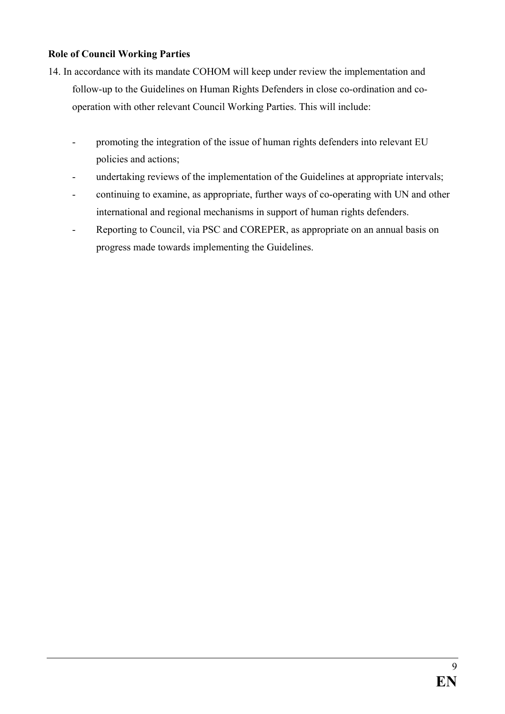## **Role of Council Working Parties**

- 14. In accordance with its mandate COHOM will keep under review the implementation and follow-up to the Guidelines on Human Rights Defenders in close co-ordination and cooperation with other relevant Council Working Parties. This will include:
	- promoting the integration of the issue of human rights defenders into relevant EU policies and actions;
	- undertaking reviews of the implementation of the Guidelines at appropriate intervals;
	- continuing to examine, as appropriate, further ways of co-operating with UN and other international and regional mechanisms in support of human rights defenders.
	- Reporting to Council, via PSC and COREPER, as appropriate on an annual basis on progress made towards implementing the Guidelines.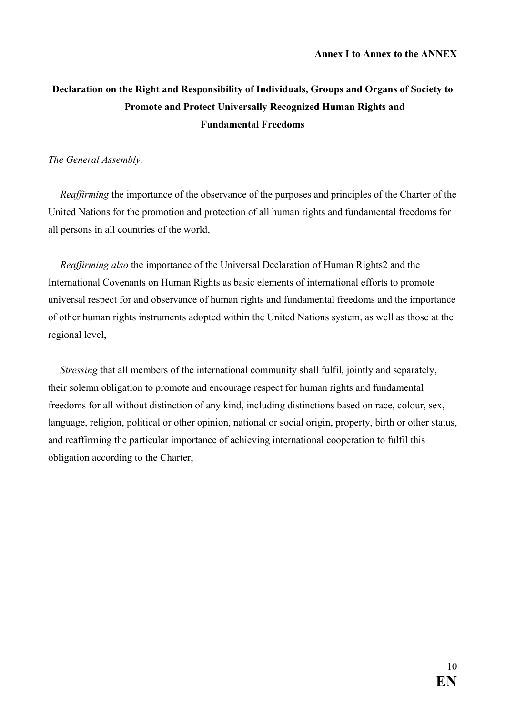# **Declaration on the Right and Responsibility of Individuals, Groups and Organs of Society to Promote and Protect Universally Recognized Human Rights and Fundamental Freedoms**

#### *The General Assembly,*

*Reaffirming* the importance of the observance of the purposes and principles of the Charter of the United Nations for the promotion and protection of all human rights and fundamental freedoms for all persons in all countries of the world,

*Reaffirming also* the importance of the Universal Declaration of Human Rights2 and the International Covenants on Human Rights as basic elements of international efforts to promote universal respect for and observance of human rights and fundamental freedoms and the importance of other human rights instruments adopted within the United Nations system, as well as those at the regional level,

*Stressing* that all members of the international community shall fulfil, jointly and separately, their solemn obligation to promote and encourage respect for human rights and fundamental freedoms for all without distinction of any kind, including distinctions based on race, colour, sex, language, religion, political or other opinion, national or social origin, property, birth or other status, and reaffirming the particular importance of achieving international cooperation to fulfil this obligation according to the Charter,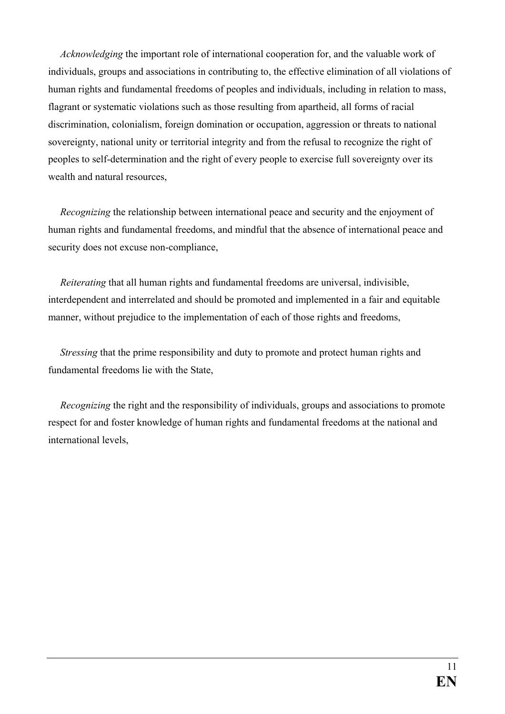*Acknowledging* the important role of international cooperation for, and the valuable work of individuals, groups and associations in contributing to, the effective elimination of all violations of human rights and fundamental freedoms of peoples and individuals, including in relation to mass, flagrant or systematic violations such as those resulting from apartheid, all forms of racial discrimination, colonialism, foreign domination or occupation, aggression or threats to national sovereignty, national unity or territorial integrity and from the refusal to recognize the right of peoples to self-determination and the right of every people to exercise full sovereignty over its wealth and natural resources,

*Recognizing* the relationship between international peace and security and the enjoyment of human rights and fundamental freedoms, and mindful that the absence of international peace and security does not excuse non-compliance,

*Reiterating* that all human rights and fundamental freedoms are universal, indivisible, interdependent and interrelated and should be promoted and implemented in a fair and equitable manner, without prejudice to the implementation of each of those rights and freedoms,

*Stressing* that the prime responsibility and duty to promote and protect human rights and fundamental freedoms lie with the State,

*Recognizing* the right and the responsibility of individuals, groups and associations to promote respect for and foster knowledge of human rights and fundamental freedoms at the national and international levels,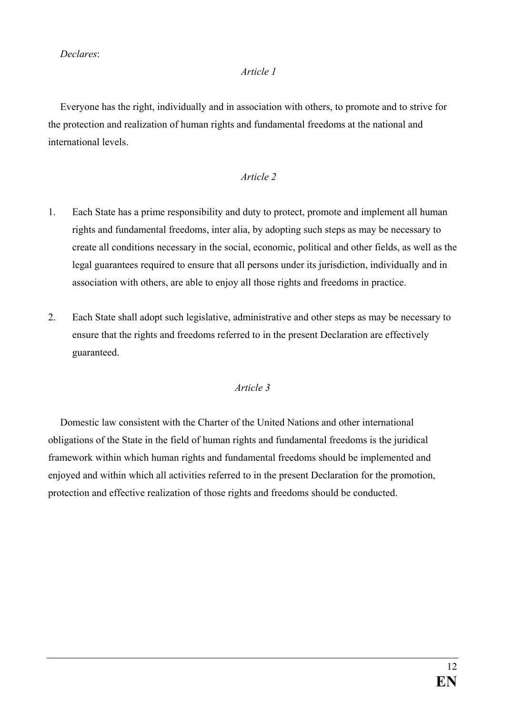Everyone has the right, individually and in association with others, to promote and to strive for the protection and realization of human rights and fundamental freedoms at the national and international levels.

## *Article 2*

- 1. Each State has a prime responsibility and duty to protect, promote and implement all human rights and fundamental freedoms, inter alia, by adopting such steps as may be necessary to create all conditions necessary in the social, economic, political and other fields, as well as the legal guarantees required to ensure that all persons under its jurisdiction, individually and in association with others, are able to enjoy all those rights and freedoms in practice.
- 2. Each State shall adopt such legislative, administrative and other steps as may be necessary to ensure that the rights and freedoms referred to in the present Declaration are effectively guaranteed.

## *Article 3*

Domestic law consistent with the Charter of the United Nations and other international obligations of the State in the field of human rights and fundamental freedoms is the juridical framework within which human rights and fundamental freedoms should be implemented and enjoyed and within which all activities referred to in the present Declaration for the promotion, protection and effective realization of those rights and freedoms should be conducted.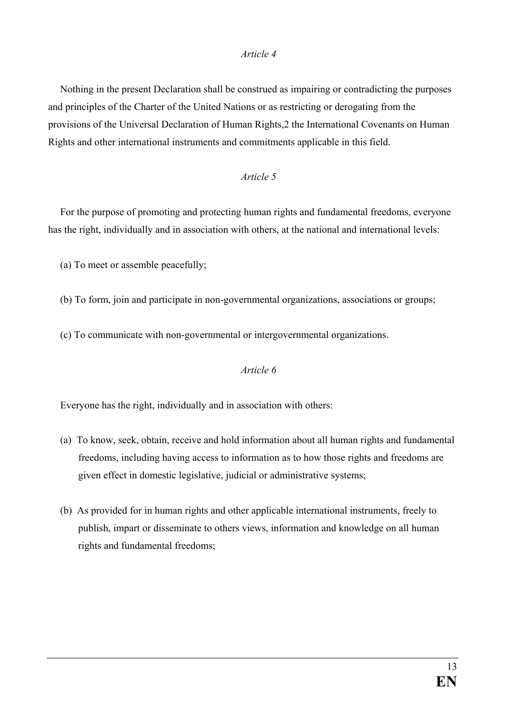Nothing in the present Declaration shall be construed as impairing or contradicting the purposes and principles of the Charter of the United Nations or as restricting or derogating from the provisions of the Universal Declaration of Human Rights,2 the International Covenants on Human Rights and other international instruments and commitments applicable in this field.

#### *Article 5*

For the purpose of promoting and protecting human rights and fundamental freedoms, everyone has the right, individually and in association with others, at the national and international levels:

(a) To meet or assemble peacefully;

(b) To form, join and participate in non-governmental organizations, associations or groups;

(c) To communicate with non-governmental or intergovernmental organizations.

#### *Article 6*

Everyone has the right, individually and in association with others:

- (a) To know, seek, obtain, receive and hold information about all human rights and fundamental freedoms, including having access to information as to how those rights and freedoms are given effect in domestic legislative, judicial or administrative systems;
- (b) As provided for in human rights and other applicable international instruments, freely to publish, impart or disseminate to others views, information and knowledge on all human rights and fundamental freedoms;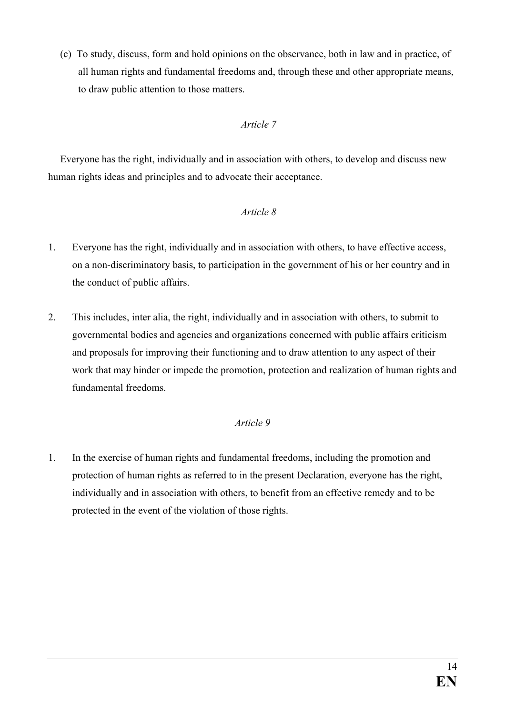(c) To study, discuss, form and hold opinions on the observance, both in law and in practice, of all human rights and fundamental freedoms and, through these and other appropriate means, to draw public attention to those matters.

## *Article 7*

Everyone has the right, individually and in association with others, to develop and discuss new human rights ideas and principles and to advocate their acceptance.

## *Article 8*

- 1. Everyone has the right, individually and in association with others, to have effective access, on a non-discriminatory basis, to participation in the government of his or her country and in the conduct of public affairs.
- 2. This includes, inter alia, the right, individually and in association with others, to submit to governmental bodies and agencies and organizations concerned with public affairs criticism and proposals for improving their functioning and to draw attention to any aspect of their work that may hinder or impede the promotion, protection and realization of human rights and fundamental freedoms.

## *Article 9*

1. In the exercise of human rights and fundamental freedoms, including the promotion and protection of human rights as referred to in the present Declaration, everyone has the right, individually and in association with others, to benefit from an effective remedy and to be protected in the event of the violation of those rights.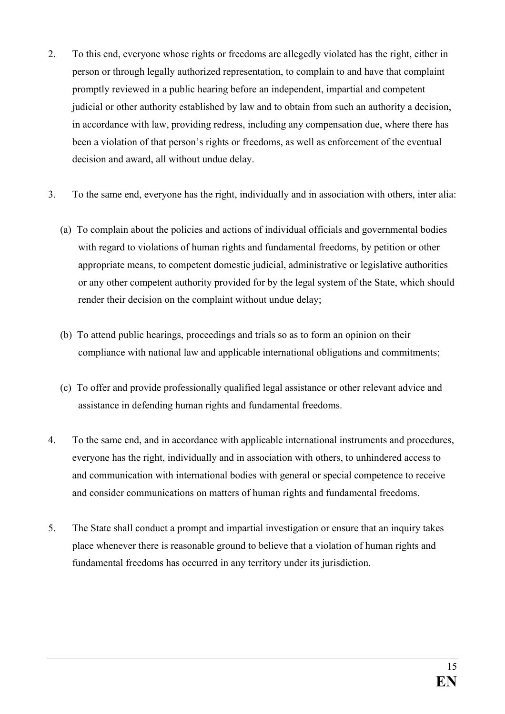- 2. To this end, everyone whose rights or freedoms are allegedly violated has the right, either in person or through legally authorized representation, to complain to and have that complaint promptly reviewed in a public hearing before an independent, impartial and competent judicial or other authority established by law and to obtain from such an authority a decision, in accordance with law, providing redress, including any compensation due, where there has been a violation of that person's rights or freedoms, as well as enforcement of the eventual decision and award, all without undue delay.
- 3. To the same end, everyone has the right, individually and in association with others, inter alia:
	- (a) To complain about the policies and actions of individual officials and governmental bodies with regard to violations of human rights and fundamental freedoms, by petition or other appropriate means, to competent domestic judicial, administrative or legislative authorities or any other competent authority provided for by the legal system of the State, which should render their decision on the complaint without undue delay;
	- (b) To attend public hearings, proceedings and trials so as to form an opinion on their compliance with national law and applicable international obligations and commitments;
	- (c) To offer and provide professionally qualified legal assistance or other relevant advice and assistance in defending human rights and fundamental freedoms.
- 4. To the same end, and in accordance with applicable international instruments and procedures, everyone has the right, individually and in association with others, to unhindered access to and communication with international bodies with general or special competence to receive and consider communications on matters of human rights and fundamental freedoms.
- 5. The State shall conduct a prompt and impartial investigation or ensure that an inquiry takes place whenever there is reasonable ground to believe that a violation of human rights and fundamental freedoms has occurred in any territory under its jurisdiction.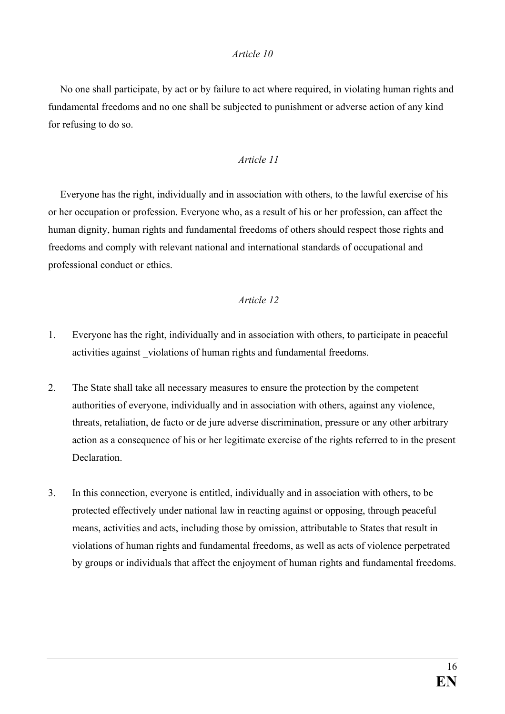No one shall participate, by act or by failure to act where required, in violating human rights and fundamental freedoms and no one shall be subjected to punishment or adverse action of any kind for refusing to do so.

#### *Article 11*

Everyone has the right, individually and in association with others, to the lawful exercise of his or her occupation or profession. Everyone who, as a result of his or her profession, can affect the human dignity, human rights and fundamental freedoms of others should respect those rights and freedoms and comply with relevant national and international standards of occupational and professional conduct or ethics.

#### *Article 12*

- 1. Everyone has the right, individually and in association with others, to participate in peaceful activities against \_violations of human rights and fundamental freedoms.
- 2. The State shall take all necessary measures to ensure the protection by the competent authorities of everyone, individually and in association with others, against any violence, threats, retaliation, de facto or de jure adverse discrimination, pressure or any other arbitrary action as a consequence of his or her legitimate exercise of the rights referred to in the present **Declaration**
- 3. In this connection, everyone is entitled, individually and in association with others, to be protected effectively under national law in reacting against or opposing, through peaceful means, activities and acts, including those by omission, attributable to States that result in violations of human rights and fundamental freedoms, as well as acts of violence perpetrated by groups or individuals that affect the enjoyment of human rights and fundamental freedoms.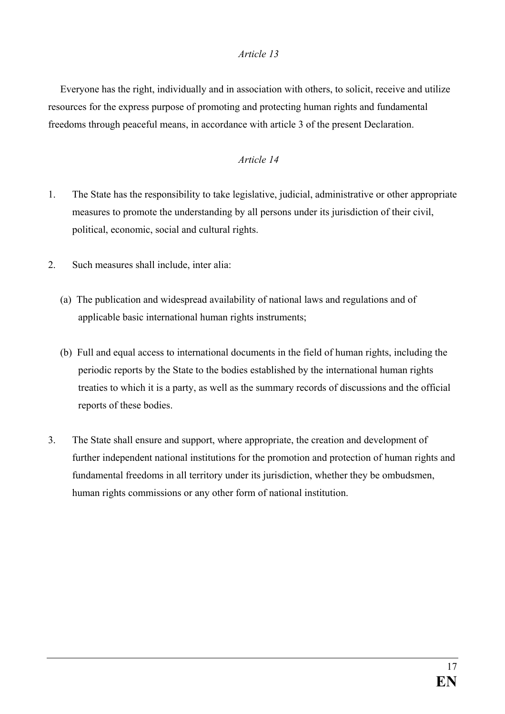Everyone has the right, individually and in association with others, to solicit, receive and utilize resources for the express purpose of promoting and protecting human rights and fundamental freedoms through peaceful means, in accordance with article 3 of the present Declaration.

## *Article 14*

- 1. The State has the responsibility to take legislative, judicial, administrative or other appropriate measures to promote the understanding by all persons under its jurisdiction of their civil, political, economic, social and cultural rights.
- 2. Such measures shall include, inter alia:
	- (a) The publication and widespread availability of national laws and regulations and of applicable basic international human rights instruments;
	- (b) Full and equal access to international documents in the field of human rights, including the periodic reports by the State to the bodies established by the international human rights treaties to which it is a party, as well as the summary records of discussions and the official reports of these bodies.
- 3. The State shall ensure and support, where appropriate, the creation and development of further independent national institutions for the promotion and protection of human rights and fundamental freedoms in all territory under its jurisdiction, whether they be ombudsmen, human rights commissions or any other form of national institution.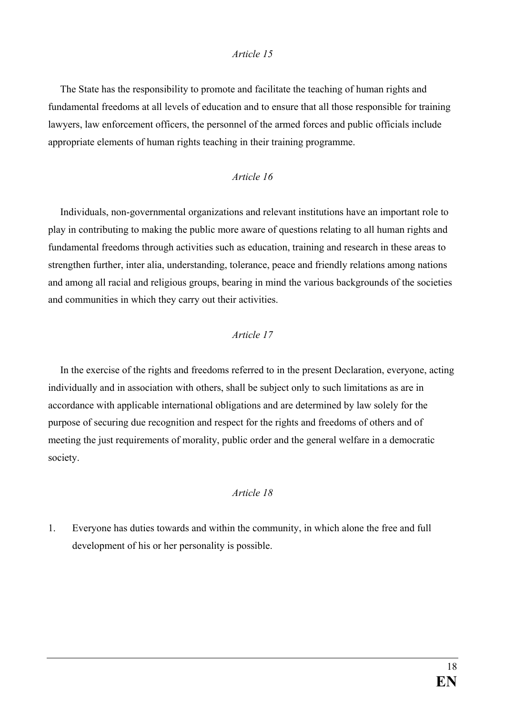The State has the responsibility to promote and facilitate the teaching of human rights and fundamental freedoms at all levels of education and to ensure that all those responsible for training lawyers, law enforcement officers, the personnel of the armed forces and public officials include appropriate elements of human rights teaching in their training programme.

#### *Article 16*

Individuals, non-governmental organizations and relevant institutions have an important role to play in contributing to making the public more aware of questions relating to all human rights and fundamental freedoms through activities such as education, training and research in these areas to strengthen further, inter alia, understanding, tolerance, peace and friendly relations among nations and among all racial and religious groups, bearing in mind the various backgrounds of the societies and communities in which they carry out their activities.

#### *Article 17*

In the exercise of the rights and freedoms referred to in the present Declaration, everyone, acting individually and in association with others, shall be subject only to such limitations as are in accordance with applicable international obligations and are determined by law solely for the purpose of securing due recognition and respect for the rights and freedoms of others and of meeting the just requirements of morality, public order and the general welfare in a democratic society.

#### *Article 18*

1. Everyone has duties towards and within the community, in which alone the free and full development of his or her personality is possible.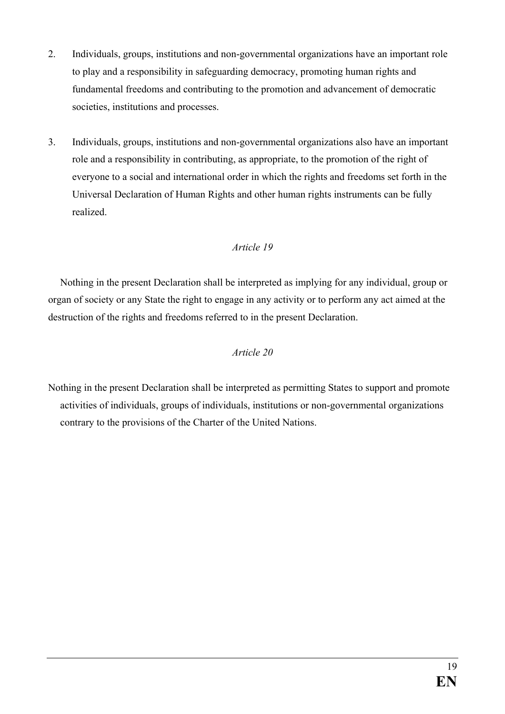- 2. Individuals, groups, institutions and non-governmental organizations have an important role to play and a responsibility in safeguarding democracy, promoting human rights and fundamental freedoms and contributing to the promotion and advancement of democratic societies, institutions and processes.
- 3. Individuals, groups, institutions and non-governmental organizations also have an important role and a responsibility in contributing, as appropriate, to the promotion of the right of everyone to a social and international order in which the rights and freedoms set forth in the Universal Declaration of Human Rights and other human rights instruments can be fully realized.

Nothing in the present Declaration shall be interpreted as implying for any individual, group or organ of society or any State the right to engage in any activity or to perform any act aimed at the destruction of the rights and freedoms referred to in the present Declaration.

# *Article 20*

Nothing in the present Declaration shall be interpreted as permitting States to support and promote activities of individuals, groups of individuals, institutions or non-governmental organizations contrary to the provisions of the Charter of the United Nations.